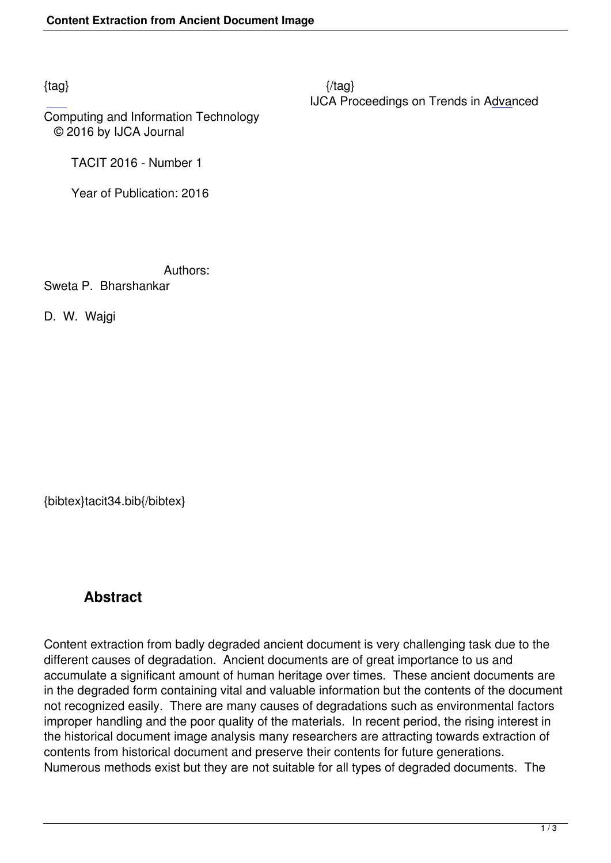$\{tag\}$ IJCA Proceedings on Trends in Advanced

Computing and Information Technology © 2016 by IJCA Journal

TACIT 2016 - Number 1

Year of Publication: 2016

Authors:

Sweta P. Bharshankar

D. W. Wajgi

{bibtex}tacit34.bib{/bibtex}

## **Abstract**

Content extraction from badly degraded ancient document is very challenging task due to the different causes of degradation. Ancient documents are of great importance to us and accumulate a significant amount of human heritage over times. These ancient documents are in the degraded form containing vital and valuable information but the contents of the document not recognized easily. There are many causes of degradations such as environmental factors improper handling and the poor quality of the materials. In recent period, the rising interest in the historical document image analysis many researchers are attracting towards extraction of contents from historical document and preserve their contents for future generations. Numerous methods exist but they are not suitable for all types of degraded documents. The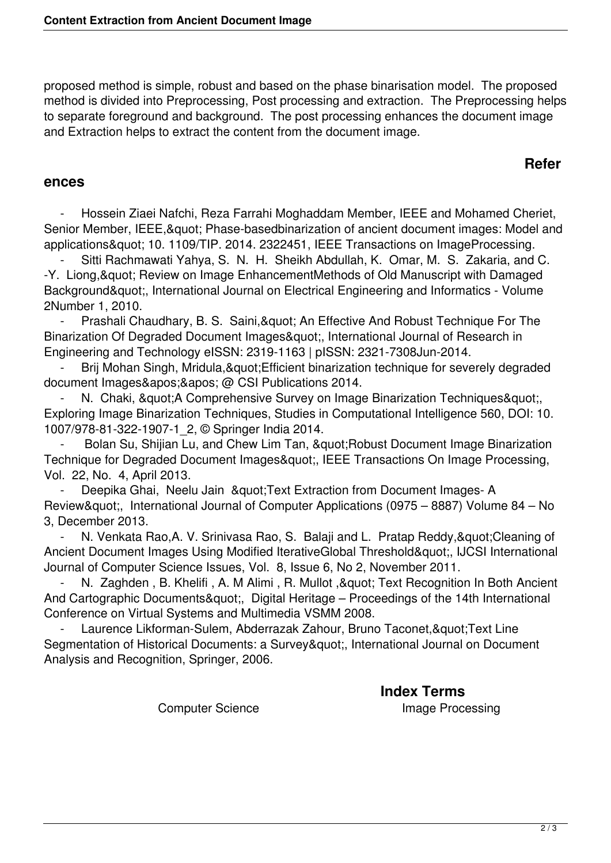proposed method is simple, robust and based on the phase binarisation model. The proposed method is divided into Preprocessing, Post processing and extraction. The Preprocessing helps to separate foreground and background. The post processing enhances the document image and Extraction helps to extract the content from the document image.

## **Refer**

## **ences**

Hossein Ziaei Nafchi, Reza Farrahi Moghaddam Member, IEEE and Mohamed Cheriet, Senior Member, IEEE, & quot; Phase-based binarization of ancient document images: Model and applications" 10. 1109/TIP. 2014. 2322451, IEEE Transactions on ImageProcessing.

Sitti Rachmawati Yahya, S. N. H. Sheikh Abdullah, K. Omar, M. S. Zakaria, and C. -Y. Liong, & quot; Review on Image EnhancementMethods of Old Manuscript with Damaged Background", International Journal on Electrical Engineering and Informatics - Volume 2Number 1, 2010.

Prashali Chaudhary, B. S. Saini, & quot; An Effective And Robust Technique For The Binarization Of Degraded Document Images", International Journal of Research in Engineering and Technology eISSN: 2319-1163 | pISSN: 2321-7308Jun-2014.

Brij Mohan Singh, Mridula, & quot; Efficient binarization technique for severely degraded document Images' ' @ CSI Publications 2014.

N. Chaki, & quot; A Comprehensive Survey on Image Binarization Techniques & quot; Exploring Image Binarization Techniques, Studies in Computational Intelligence 560, DOI: 10. 1007/978-81-322-1907-1\_2, © Springer India 2014.

Bolan Su, Shijian Lu, and Chew Lim Tan, & quot: Robust Document Image Binarization Technique for Degraded Document Images", IEEE Transactions On Image Processing, Vol. 22, No. 4, April 2013.

Deepika Ghai, Neelu Jain & quot; Text Extraction from Document Images- A Review", International Journal of Computer Applications (0975 – 8887) Volume 84 – No 3, December 2013.

N. Venkata Rao, A. V. Srinivasa Rao, S. Balaji and L. Pratap Reddy, & quot; Cleaning of Ancient Document Images Using Modified IterativeGlobal Threshold", IJCSI International Journal of Computer Science Issues, Vol. 8, Issue 6, No 2, November 2011.

N. Zaghden, B. Khelifi, A. M Alimi, R. Mullot, & quot; Text Recognition In Both Ancient And Cartographic Documents", Digital Heritage – Proceedings of the 14th International Conference on Virtual Systems and Multimedia VSMM 2008.

Laurence Likforman-Sulem, Abderrazak Zahour, Bruno Taconet, & quot; Text Line Segmentation of Historical Documents: a Survey&guot:, International Journal on Document Analysis and Recognition, Springer, 2006.

**Index Terms** 

Computer Science **Image Processing**